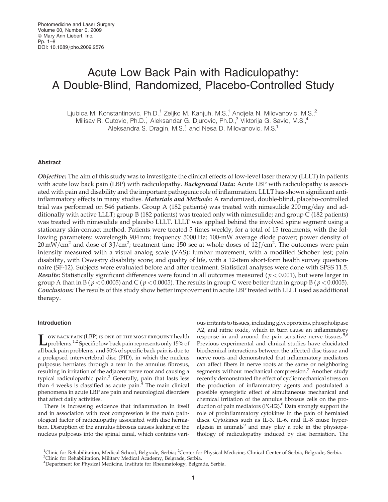# Acute Low Back Pain with Radiculopathy: A Double-Blind, Randomized, Placebo-Controlled Study

Ljubica M. Konstantinovic, Ph.D.,<sup>1</sup> Zeljko M. Kanjuh, M.S.,<sup>1</sup> Andjela N. Milovanovic, M.S.,<sup>2</sup> Milisav R. Cutovic, Ph.D.,<sup>1</sup> Aleksandar G. Djurovic, Ph.D.,<sup>3</sup> Viktorija G. Savic, M.S.,<sup>4</sup> Aleksandra S. Dragin, M.S.<sup>1</sup> and Nesa D. Milovanovic, M.S.<sup>1</sup>

## Abstract

Objective: The aim of this study was to investigate the clinical effects of low-level laser therapy (LLLT) in patients with acute low back pain (LBP) with radiculopathy. Background Data: Acute LBP with radiculopathy is associated with pain and disability and the important pathogenic role of inflammation. LLLT has shown significant antiinflammatory effects in many studies. Materials and Methods: A randomized, double-blind, placebo-controlled trial was performed on 546 patients. Group A (182 patients) was treated with nimesulide  $200 \,\text{mg/day}$  and additionally with active LLLT; group B (182 patients) was treated only with nimesulide; and group C (182 patients) was treated with nimesulide and placebo LLLT. LLLT was applied behind the involved spine segment using a stationary skin-contact method. Patients were treated 5 times weekly, for a total of 15 treatments, with the following parameters: wavelength 904 nm; frequency 5000 Hz; 100-mW average diode power; power density of  $20 \text{ mW/cm}^2$  and dose of  $3$  J/cm<sup>2</sup>; treatment time 150 sec at whole doses of  $12$  J/cm<sup>2</sup>. The outcomes were pain intensity measured with a visual analog scale (VAS); lumbar movement, with a modified Schober test; pain disability, with Oswestry disability score; and quality of life, with a 12-item short-form health survey questionnaire (SF-12). Subjects were evaluated before and after treatment. Statistical analyses were done with SPSS 11.5. Results: Statistically significant differences were found in all outcomes measured ( $p < 0.001$ ), but were larger in group A than in B ( $p < 0.0005$ ) and C ( $p < 0.0005$ ). The results in group C were better than in group B ( $p < 0.0005$ ). Conclusions: The results of this study show better improvement in acute LBP treated with LLLT used as additional therapy.

## Introduction

Low back pain (LBP) is one of the most frequent health<br>problems.<sup>1,2</sup> Specific low back pain represents only 15% of all back pain problems, and 50% of specific back pain is due to a prolapsed intervertebral disc (PID), in which the nucleus pulposus herniates through a tear in the annulus fibrosus, resulting in irritation of the adjacent nerve root and causing a typical radiculopathic pain.<sup>3</sup> Generally, pain that lasts less than 4 weeks is classified as acute  $\text{pain.}^4$  The main clinical phenomena in acute LBP are pain and neurological disorders that affect daily activities.

There is increasing evidence that inflammation in itself and in association with root compression is the main pathological factor of radiculopathy associated with disc herniation. Disruption of the annulus fibrosus causes leaking of the nucleus pulposus into the spinal canal, which contains various irritants to tissues, including glycoproteins, phospholipase A2, and nitric oxide, which in turn cause an inflammatory response in and around the pain-sensitive nerve tissues.<sup>5,6</sup> Previous experimental and clinical studies have elucidated biochemical interactions between the affected disc tissue and nerve roots and demonstrated that inflammatory mediators can affect fibers in nerve roots at the same or neighboring segments without mechanical compression.<sup>7</sup> Another study recently demonstrated the effect of cyclic mechanical stress on the production of inflammatory agents and postulated a possible synergistic effect of simultaneous mechanical and chemical irritation of the annulus fibrosus cells on the production of pain mediators (PGE2).<sup>8</sup> Data strongly support the role of proinflammatory cytokines in the pain of herniated discs. Cytokines such as IL-3, IL-6, and IL-8 cause hyperalgesia in animals $9$  and may play a role in the physiopathology of radiculopathy induced by disc herniation. The

<sup>&</sup>lt;sup>1</sup>Clinic for Rehabilitation, Medical School, Belgrade, Serbia; <sup>2</sup>Center for Physical Medicine, Clinical Center of Serbia, Belgrade, Serbia.<br><sup>3</sup>Clinic for Rehabilitation, Military Medical Academy, Belgrade, Serbia. <sup>3</sup>Clinic for Rehabilitation, Military Medical Academy, Belgrade, Serbia.

<sup>&</sup>lt;sup>4</sup>Department for Physical Medicine, Institute for Rheumatology, Belgrade, Serbia.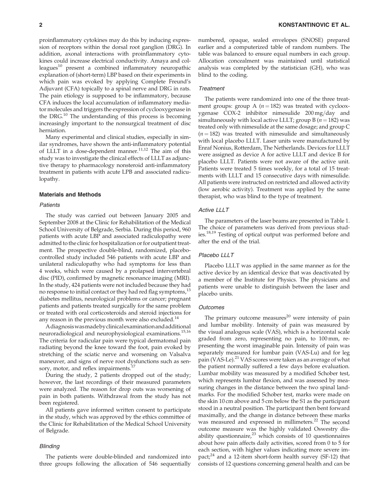proinflammatory cytokines may do this by inducing expression of receptors within the dorsal root ganglion (DRG). In addition, axonal interactions with proinflammatory cytokines could increase electrical conductivity. Amaya and col $le$  leagues<sup>10</sup> present a combined inflammatory neuropathic explanation of (short-term) LBP based on their experiments in which pain was evoked by applying Complete Freund's Adjuvant (CFA) topically to a spinal nerve and DRG in rats. The pain etiology is supposed to be inflammatory, because CFA induces the local accumulation of inflammatory mediator molecules and triggers the expression of cyclooxygenase in the DRG.<sup>10</sup> The understanding of this process is becoming increasingly important to the nonsurgical treatment of disc herniation.

Many experimental and clinical studies, especially in similar syndromes, have shown the anti-inflammatory potential of LLLT in a dose-dependent manner.<sup>11,12</sup> The aim of this study was to investigate the clinical effects of LLLT as adjunctive therapy to pharmacology nonsteroid anti-inflammatory treatment in patients with acute LPB and associated radiculopathy.

## Materials and Methods

### **Patients**

The study was carried out between January 2005 and September 2008 at the Clinic for Rehabilitation of the Medical School University of Belgrade, Serbia. During this period, 960 patients with acute LBP and associated radiculopathy were admitted to the clinic for hospitalization or for outpatient treatment. The prospective double-blind, randomized, placebocontrolled study included 546 patients with acute LBP and unilateral radiculopathy who had symptoms for less than 4 weeks, which were caused by a prolapsed intervertebral disc (PID), confirmed by magnetic resonance imaging (MRI). In the study, 424 patients were not included because they had no response to initial contact or they had red flag symptoms,<sup>13</sup> diabetes mellitus, neurological problems or cancer; pregnant patients and patients treated surgically for the same problem or treated with oral corticosteroids and steroid injections for any reason in the previous month were also excluded. $^{14}$ 

Adiagnosiswasmadebyclinicalexaminationandadditional neuroradiological and neurophysiological examinations.15,16 The criteria for radicular pain were typical dermatomal pain radiating beyond the knee toward the foot, pain evoked by stretching of the sciatic nerve and worsening on Valsalva maneuver, and signs of nerve root dysfunctions such as sensory, motor, and reflex impairments. $^{17}$ 

During the study, 2 patients dropped out of the study; however, the last recordings of their measured parameters were analyzed. The reason for drop outs was worsening of pain in both patients. Withdrawal from the study has not been registered.

All patients gave informed written consent to participate in the study, which was approved by the ethics committee of the Clinic for Rehabilitation of the Medical School University of Belgrade.

#### **Blinding**

The patients were double-blinded and randomized into three groups following the allocation of 546 sequentially

numbered, opaque, sealed envelopes (SNOSE) prepared earlier and a computerized table of random numbers. The table was balanced to ensure equal numbers in each group. Allocation concealment was maintained until statistical analysis was completed by the statistician (GH), who was blind to the coding.

#### **Treatment**

The patients were randomized into one of the three treatment groups: group A ( $n = 182$ ) was treated with cyclooxygenase  $COX-2$  inhibitor nimesulide  $200 \,\text{mg/day}$  and simultaneously with local active LLLT; group B ( $n = 182$ ) was treated only with nimesulide at the same dosage; and group C  $(n = 182)$  was treated with nimesulide and simultaneously with local placebo LLLT. Laser units were manufactured by Enraf Nonius, Rotterdam, The Netherlands. Devices for LLLT were assigned as device A for active LLLT and device B for placebo LLLT. Patients were not aware of the active unit. Patients were treated 5 times weekly, for a total of 15 treatments with LLLT and 15 consecutive days with nimesulide. All patients were instructed on restricted and allowed activity (low aerobic activity). Treatment was applied by the same therapist, who was blind to the type of treatment.

## Active LLLT

The parameters of the laser beams are presented in Table 1. The choice of parameters was derived from previous studies.<sup>18,19</sup> Testing of optical output was performed before and after the end of the trial.

## Placebo LLLT

Placebo LLLT was applied in the same manner as for the active device by an identical device that was deactivated by a member of the Institute for Physics. The physicians and patients were unable to distinguish between the laser and placebo units.

#### **Outcomes**

The primary outcome measures $^{20}$  were intensity of pain and lumbar mobility. Intensity of pain was measured by the visual analogous scale (VAS), which is a horizontal scale graded from zero, representing no pain, to 100 mm, representing the worst imaginable pain. Intensity of pain was separately measured for lumbar pain (VAS-Lu) and for leg pain (VAS-Le).<sup>21</sup> VAS scores were taken as an average of what the patient normally suffered a few days before evaluation. Lumbar mobility was measured by a modified Schober test, which represents lumbar flexion, and was assessed by measuring changes in the distance between the two spinal landmarks. For the modified Schober test, marks were made on the skin 10 cm above and 5 cm below the S1 as the participant stood in a neutral position. The participant then bent forward maximally, and the change in distance between these marks was measured and expressed in millimeters.<sup>22</sup> The second outcome measure was the highly validated Oswestry disability questionnaire, $23$  which consists of 10 questionnaires about how pain affects daily activities, scored from 0 to 5 for each section, with higher values indicating more severe impact; $24$  and a 12-item short-form health survey (SF-12) that consists of 12 questions concerning general health and can be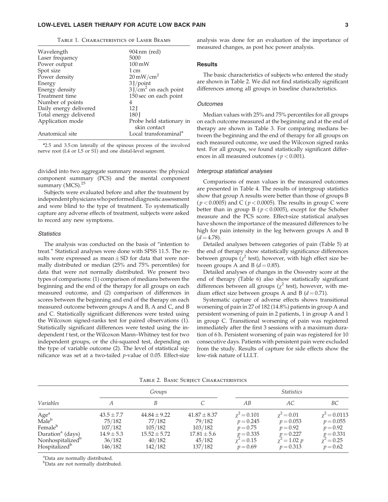## LOW-LEVEL LASER THERAPY FOR ACUTE LOW BACK PAIN 3

| Wavelength             | 904 nm (red)                             |
|------------------------|------------------------------------------|
| Laser frequency        | 5000                                     |
| Power output           | $100 \,\mathrm{mW}$                      |
| Spot size              | $1 \text{ cm}$                           |
| Power density          | $20 \text{ mW/cm}^2$                     |
| Energy                 | $3$ J/point                              |
| Energy density         | $3$ J/cm <sup>2</sup> on each point      |
| Treatment time         | 150 sec on each point                    |
| Number of points       | 4                                        |
| Daily energy delivered | 12 <sub>l</sub>                          |
| Total energy delivered | 180 J                                    |
| Application mode       | Probe held stationary in<br>skin contact |
| Anatomical site        | Local transforaminal <sup>a</sup>        |

| TABLE 1. CHARACTERISTICS OF LASER BEAMS |
|-----------------------------------------|
|-----------------------------------------|

<sup>a</sup>2.5 and 3.5 cm laterally of the spinous process of the involved nerve root (L4 or L5 or S1) and one distal-level segment.

divided into two aggregate summary measures: the physical component summary (PCS) and the mental component summary (MCS).<sup>25</sup>

Subjects were evaluated before and after the treatment by independent physicians who performed diagnostic assessment and were blind to the type of treatment. To systematically capture any adverse effects of treatment, subjects were asked to record any new symptoms.

## **Statistics**

The analysis was conducted on the basis of ''intention to treat.'' Statistical analyses were done with SPSS 11.5. The results were expressed as mean  $\pm$  SD for data that were normally distributed or median (25% and 75% percentiles) for data that were not normally distributed. We present two types of comparisons: (1) comparison of medians between the beginning and the end of the therapy for all groups on each measured outcome, and (2) comparison of differences in scores between the beginning and end of the therapy on each measured outcome between groups A and B, A and C, and B and C. Statistically significant differences were tested using the Wilcoxon signed-ranks test for paired observations (1). Statistically significant differences were tested using the independent t test, or the Wilcoxon Mann–Whitney test for two independent groups, or the chi-squared test, depending on the type of variable outcome (2). The level of statistical significance was set at a two-tailed  $p$ -value of 0.05. Effect-size analysis was done for an evaluation of the importance of measured changes, as post hoc power analysis.

## **Results**

The basic characteristics of subjects who entered the study are shown in Table 2. We did not find statistically significant differences among all groups in baseline characteristics.

## **Outcomes**

Median values with 25% and 75% percentiles for all groups on each outcome measured at the beginning and at the end of therapy are shown in Table 3. For comparing medians between the beginning and the end of therapy for all groups on each measured outcome, we used the Wilcoxon signed ranks test. For all groups, we found statistically significant differences in all measured outcomes ( $p < 0.001$ ).

#### Intergroup statistical analyses

Comparisons of mean values in the measured outcomes are presented in Table 4. The results of intergroup statistics show that group A results were better than those of groups B ( $p < 0.0005$ ) and C ( $p < 0.0005$ ). The results in group C were better than in group B ( $p < 0.0005$ ), except for the Schober measure and the PCS score. Effect-size statistical analyses have shown the importance of the measured differences to be high for pain intensity in the leg between groups A and B  $(d = 4.78)$ .

Detailed analyses between categories of pain (Table 5) at the end of therapy show statistically significance differences between groups ( $\chi^2$  test), however, with high effect size between groups A and B ( $d = 0.85$ ).

Detailed analyses of changes in the Oswestry score at the end of therapy (Table 6) also show statistically significant differences between all groups ( $\chi^2$  test), however, with medium effect size between groups A and B  $(d = 0.71)$ .

Systematic capture of adverse effects shows transitional worsening of pain in 27 of 182 (14.8%) patients in group A and persistent worsening of pain in 2 patients, 1 in group A and 1 in group C. Transitional worsening of pain was registered immediately after the first 3 sessions with a maximum duration of 6 h. Persistent worsening of pain was registered for 10 consecutive days. Patients with persistent pain were excluded from the study. Results of capture for side effects show the low-risk nature of LLLT.

|                                                                                                                                                           |                                                                            | Groups                                                                         |                                                                               | <i>Statistics</i>                                                                                 |                                                                                                      |                                                                                                |  |  |
|-----------------------------------------------------------------------------------------------------------------------------------------------------------|----------------------------------------------------------------------------|--------------------------------------------------------------------------------|-------------------------------------------------------------------------------|---------------------------------------------------------------------------------------------------|------------------------------------------------------------------------------------------------------|------------------------------------------------------------------------------------------------|--|--|
| Variables                                                                                                                                                 |                                                                            | B                                                                              |                                                                               | AВ                                                                                                | AC.                                                                                                  | ВC                                                                                             |  |  |
| Age <sup>a</sup><br>Male <sup>b</sup><br>Female <sup>b</sup><br>Duration <sup>a</sup> (days)<br>Nonhospitalized <sup>b</sup><br>Hospitalized <sup>b</sup> | $43.5 \pm 7.7$<br>75/182<br>107/182<br>$14.9 \pm 5.3$<br>36/182<br>146/182 | $44.84 \pm 9.22$<br>77/182<br>105/182<br>$15.52 \pm 5.72$<br>40/182<br>142/182 | $41.87 \pm 8.37$<br>79/182<br>103/182<br>$17.81 \pm 5.6$<br>45/182<br>137/182 | $\gamma^2 = 0.101$<br>$p = 0.245$<br>$p = 0.75$<br>$p = 0.335$<br>$\gamma^2 = 0.15$<br>$p = 0.69$ | $\gamma^2 = 0.01$<br>$p = 0.053$<br>$p = 0.92$<br>$p = 0.227$<br>$\chi^2 = 1.02 \; p$<br>$p = 0.313$ | $\chi^2 = 0.0113$<br>$p = 0.055$<br>$p = 0.92$<br>$p = 0.331$<br>$\chi^2 = 0.25$<br>$p = 0.62$ |  |  |

<sup>a</sup>Data are normally distributed.

b Data are not normally distributed.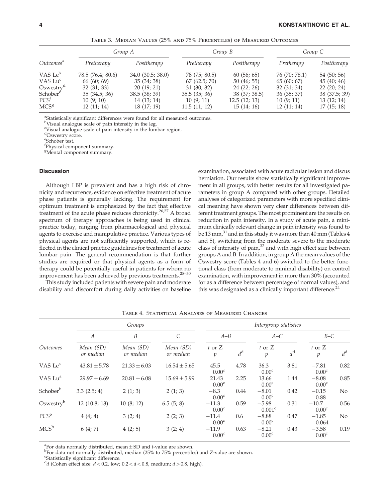|                       |                   | Group A          |               | Group B       | Group C       |               |  |
|-----------------------|-------------------|------------------|---------------|---------------|---------------|---------------|--|
| Outcomes <sup>a</sup> | Pretherapy        | Posttherapy      | Pretherapy    | Posttherapy   | Pretherapy    | Posttherapy   |  |
| VAS Le <sup>b</sup>   | 78.5 (76.4; 80.6) | 34.0(30.5; 38.0) | 78 (75; 80.5) | 60(56; 65)    | 76 (70; 78.1) | 54 (50; 56)   |  |
| VAS Lu <sup>c</sup>   | 66(60; 69)        | 35(34;38)        | 67(62.5; 70)  | 50(46; 55)    | 65(60; 67)    | 45(40; 46)    |  |
| Oswestry <sup>a</sup> | 32(31; 33)        | 20(19; 21)       | 31(30; 32)    | 24(22; 26)    | 32(31; 34)    | 22(20; 24)    |  |
| Schober <sup>e</sup>  | 35(34.5; 36)      | 38.5(38; 39)     | 35.5(35; 36)  | 38 (37; 38.5) | 36(35; 37)    | 38 (37.5; 39) |  |
| PCS <sup>t</sup>      | 10(9; 10)         | 14 (13; 14)      | 10(9; 11)     | 12.5(12; 13)  | 10(9; 11)     | 13(12; 14)    |  |
| MCS <sup>g</sup>      | 12(11; 14)        | 18(17; 19)       | 11.5(11; 12)  | 15(14; 16)    | 12(11; 14)    | 17(15;18)     |  |

Table 3. Median Values (25% and 75% Percentiles) of Measured Outcomes

<sup>a</sup>Statistically significant differences were found for all measured outcomes.

<sup>b</sup>Visual analogue scale of pain intensity in the leg.

c Visual analogue scale of pain intensity in the lumbar region.

d Oswestry score.

e Schober test.

f Physical component summary.

g Mental component summary.

## Discussion

Although LBP is prevalent and has a high risk of chronicity and recurrence, evidence on effective treatment of acute phase patients is generally lacking. The requirement for optimum treatment is emphasized by the fact that effective treatment of the acute phase reduces chronicity.<sup>26,27</sup> A broad spectrum of therapy approaches is being used in clinical practice today, ranging from pharmacological and physical agents to exercise and manipulative practice. Various types of physical agents are not sufficiently supported, which is reflected in the clinical practice guidelines for treatment of acute lumbar pain. The general recommendation is that further studies are required or that physical agents as a form of therapy could be potentially useful in patients for whom no improvement has been achieved by previous treatments.<sup>28-30</sup>

This study included patients with severe pain and moderate disability and discomfort during daily activities on baseline examination, associated with acute radicular lesion and discus herniation. Our results show statistically significant improvement in all groups, with better results for all investigated parameters in group A compared with other groups. Detailed analyses of categorized parameters with more specified clinical meaning have shown very clear differences between different treatment groups. The most prominent are the results on reduction in pain intensity. In a study of acute pain, a minimum clinically relevant change in pain intensity was found to be 13 mm,<sup>31</sup> and in this study it was more than 40 mm (Tables 4 and 5), switching from the moderate severe to the moderate class of intensity of pain, $32$  and with high effect size between groups A and B. In addition, in group A the mean values of the Oswestry score (Tables 4 and 6) switched to the better functional class (from moderate to minimal disability) on control examination, with improvement in more than 30% (accounted for as a difference between percentage of normal values), and this was designated as a clinically important difference. $^{24}$ 

|                        |                        | Groups                 | Intergroup statistics  |                              |             |                              |             |                              |                |
|------------------------|------------------------|------------------------|------------------------|------------------------------|-------------|------------------------------|-------------|------------------------------|----------------|
|                        | $\overline{A}$         | B                      | $\mathcal{C}_{0}^{2}$  | $A - B$                      |             | $A-C$                        |             | $B-C$                        |                |
| <i><u>Outcomes</u></i> | Mean (SD)<br>or median | Mean (SD)<br>or median | Mean (SD)<br>or median | $t$ or $Z$<br>$\mathcal{P}$  | $d^{\rm d}$ | $t$ or $Z$<br>$\mathfrak{p}$ | $d^{\rm d}$ | $t$ or $Z$<br>$\mathcal{V}$  | $d^{\rm d}$    |
| VAS Le <sup>a</sup>    | $43.81 \pm 5.78$       | $21.33 \pm 6.03$       | $16.54 \pm 5.65$       | 45.5<br>0.00 <sup>c</sup>    | 4.78        | 36.3<br>0.00 <sup>c</sup>    | 3.81        | $-7.81$<br>0.00 <sup>c</sup> | 0.82           |
| VAS Lu <sup>a</sup>    | $29.97 \pm 6.69$       | $20.81 \pm 6.08$       | $15.69 \pm 5.99$       | 21.43<br>0.00 <sup>c</sup>   | 2.25        | 13.66<br>0.00 <sup>c</sup>   | 1.44        | $-8.08$<br>0.00 <sup>c</sup> | 0.85           |
| Schober <sup>b</sup>   | 3.3(2.5; 4)            | 2(1; 3)                | 2(1; 3)                | $-8.3$<br>0.00 <sup>c</sup>  | 0.44        | $-8.01$<br>0.00 <sup>c</sup> | 0.42        | $-0.15$<br>0.88              | N <sub>o</sub> |
| Oswestry <sup>b</sup>  | 12(10.8; 13)           | 10(8; 12)              | 6.5(5; 8)              | $-11.3$<br>0.00 <sup>c</sup> | 0.59        | $-5.98$<br>$0.001^{\circ}$   | 0.31        | $-10.7$<br>0.00 <sup>c</sup> | 0.56           |
| $PCS^b$                | 4(4; 4)                | 3(2; 4)                | 2(2; 3)                | $-11.4$<br>0.00 <sup>c</sup> | 0.6         | $-8.88$<br>0.00 <sup>c</sup> | 0.47        | $-1.85$<br>0.064             | N <sub>o</sub> |
| $MCS^b$                | 6(4; 7)                | 4(2; 5)                | 3(2; 4)                | $-11.9$<br>0.00 <sup>c</sup> | 0.63        | $-8.21$<br>0.00 <sup>c</sup> | 0.43        | $-3.58$<br>0.00 <sup>c</sup> | 0.19           |

Table 4. Statistical Analyses of Measured Changes

<sup>a</sup> For data normally distributed, mean  $\pm$  SD and *t*-value are shown.<br><sup>b</sup> For data not normally distributed, median (25% to 75% percentile

For data not normally distributed, median (25% to 75% percentiles) and Z-value are shown.

c Statistically significant difference.

<sup>d</sup>d (Cohen effect size:  $d < 0.2$ , low;  $0.2 < d < 0.8$ , medium;  $d > 0.8$ , high).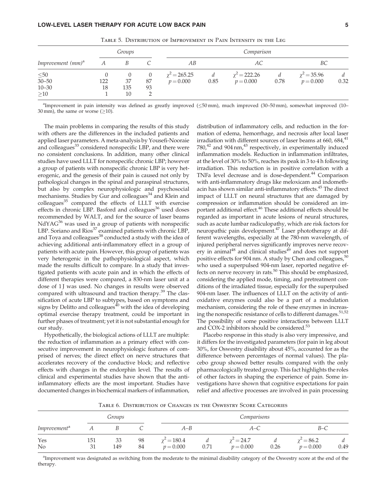Table 5. Distribution of Improvement in Pain Intensity in the Leg

|                                                 |           | Groups          |          | Comparison                       |           |                                  |           |                                 |           |
|-------------------------------------------------|-----------|-----------------|----------|----------------------------------|-----------|----------------------------------|-----------|---------------------------------|-----------|
| Improvement (mm) <sup>a</sup>                   |           |                 |          | AВ                               |           | АC                               |           | BС                              |           |
| $\leq 50$<br>$30 - 50$<br>$10 - 30$<br>$\geq10$ | 122<br>18 | 37<br>135<br>10 | 87<br>93 | $\chi^2$ = 265.25<br>$p = 0.000$ | d<br>0.85 | $\chi^2$ = 222.26<br>$p = 0.000$ | а<br>0.78 | $\chi^2$ = 35.96<br>$p = 0.000$ | d<br>0.32 |

aImprovement in pain intensity was defined as greatly improved ( $\leq$ 50 mm), much improved (30–50 mm), somewhat improved (10– 30 mm), the same or worse  $(≥10)$ .

The main problems in comparing the results of this study with others are the differences in the included patients and applied laser parameters. A meta-analysis by Yousefi-Nooraie and colleagues<sup>33</sup> considered nonspecific LBP, and there were no consistent conclusions. In addition, many other clinical studies have used LLLT for nonspecific chronic LBP; however a group of patients with nonspecific chronic LBP is very heterogenic, and the genesis of their pain is caused not only by pathological changes in the spinal and paraspinal structures, but also by complex neurophysiologic and psychosocial mechanisms. Studies by Gur and colleagues<sup>34</sup> and Klein and colleagues<sup>35</sup> compared the effects of LLLT with exercise effects in chronic LBP. Basford and colleagues $36$  used doses recommended by WALT, and for the source of laser beams  $NdYAG<sup>36</sup>$  was used in a group of patients with nonspecific LBP. Soriano and  $Rios^{37}$  examined patients with chronic LBP, and Toya and colleagues<sup>38</sup> conducted a study with the idea of achieving additional anti-inflammatory effect in a group of patients with acute pain. However, this group of patients was very heterogenic in the pathophysiological aspect, which made the results difficult to compare. In a study that investigated patients with acute pain and in which the effects of different therapies were compared, a 830-nm laser unit at a dose of 1J was used. No changes in results were observed compared with ultrasound and traction therapy.<sup>39</sup> The classification of acute LBP to subtypes, based on symptoms and signs by Delitto and colleagues $40$  with the idea of developing optimal exercise therapy treatment, could be important in further phases of treatment; yet it is not substantial enough for our study.

Hypothetically, the biological actions of LLLT are multiple: the reduction of inflammation as a primary effect with consecutive improvement in neurophysiologic features of comprised of nerves; the direct effect on nerve structures that accelerates recovery of the conductive block; and reflective effects with changes in the endorphin level. The results of clinical and experimental studies have shown that the antiinflammatory effects are the most important. Studies have documented changes in biochemical markers of inflammation, distribution of inflammatory cells, and reduction in the formation of edema, hemorrhage, and necrosis after local laser irradiation with different sources of laser beams at 660,  $684,^{41}$  $780<sup>42</sup>$  and  $904$  nm,<sup>43</sup> respectively, in experimentally induced inflammation models. Reduction in inflammation infiltrates, at the level of 30% to 50%, reaches its peak in 3 to 4 h following irradiation. This reduction is in positive correlation with a TNFa level decrease and is dose-dependent.<sup>44</sup> Comparison with anti-inflammatory drugs like meloxicam and indomethacin has shown similar anti-inflammatory effects.45 The direct impact of LLLT on neural structures that are damaged by compression or inflammation should be considered an important additional effect.<sup>46</sup> These additional effects should be regarded as important in acute lesions of neural structures, such as acute lumbar radiculopathy, which are risk factors for neuropathic pain development.47 Laser phototherapy at different wavelengths, especially at the 780-nm wavelength, of injured peripheral nerves significantly improves nerve recovery in animal<sup>48</sup> and clinical studies<sup>49</sup> and does not support positive effects for 904 nm. A study by Chen and colleagues,  $50$ who used a superpulsed 904-nm laser, reported negative effects on nerve recovery in rats.<sup>50</sup> This should be emphasized, considering the applied mode, timing, and pretreatment conditions of the irradiated tissue, especially for the superpulsed 904-nm laser. The influences of LLLT on the activity of antioxidative enzymes could also be a part of a modulation mechanism, considering the role of these enzymes in increasing the nonspecific resistance of cells to different damages.  $\boldsymbol{^{51,52}}$ The possibility of some positive interactions between LLLT and COX-2 inhibitors should be considered.<sup>53</sup>

Placebo response in this study is also very impressive, and it differs for the investigated parameters (for pain in leg about 30%, for Oswestry disability about 45%, accounted for as the difference between percentages of normal values). The placebo group showed better results compared with the only pharmacologically treated group. This fact highlights the roles of other factors in shaping the experience of pain. Some investigations have shown that cognitive expectations for pain relief and affective processes are involved in pain processing

Table 6. Distribution of Changes in the Oswestry Score Categories

|                          |           | Groups    |          |                                   | Comparisons |                                  |           |                                  |           |  |
|--------------------------|-----------|-----------|----------|-----------------------------------|-------------|----------------------------------|-----------|----------------------------------|-----------|--|
| Improvement <sup>a</sup> |           |           |          | A–B                               |             | A–C                              |           | $B-C$                            |           |  |
| Yes<br>N <sub>o</sub>    | 151<br>31 | 33<br>149 | 98<br>84 | $\gamma^2 = 180.4$<br>$p = 0.000$ | 0.71        | $\gamma^2 = 24.7$<br>$p = 0.000$ | а<br>0.26 | $\gamma^2 = 86.2$<br>$p = 0.000$ | a<br>0.49 |  |

<sup>a</sup>Improvement was designated as switching from the moderate to the minimal disability category of the Oswestry score at the end of the therapy.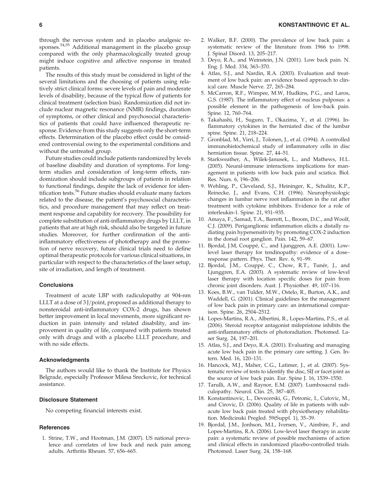through the nervous system and in placebo analgesic responses.54,55 Additional management in the placebo group compared with the only pharmacologically treated group might induce cognitive and affective response in treated patients.

The results of this study must be considered in light of the several limitations and the choosing of patients using relatively strict clinical forms: severe levels of pain and moderate levels of disability, because of the typical flow of patients for clinical treatment (selection bias). Randomization did not include nuclear magnetic resonance (NMR) findings, duration of symptoms, or other clinical and psychosocial characteristics of patients that could have influenced therapeutic response. Evidence from this study suggests only the short-term effects. Determination of the placebo effect could be considered controversial owing to the experimental conditions and without the untreated group.

Future studies could include patients randomized by levels of baseline disability and duration of symptoms. For longterm studies and consideration of long-term effects, randomization should include subgroups of patients in relation to functional findings, despite the lack of evidence for identification tests.<sup>56</sup> Future studies should evaluate many factors related to the disease, the patient's psychosocial characteristics, and procedure management that may reflect on treatment response and capability for recovery. The possibility for complete substitution of anti-inflammatory drugs by LLLT, in patients that are at high risk, should also be targeted in future studies. Moreover, for further confirmation of the antiinflammatory effectiveness of phototherapy and the promotion of nerve recovery, future clinical trials need to define optimal therapeutic protocols for various clinical situations, in particular with respect to the characteristics of the laser setup, site of irradiation, and length of treatment.

## **Conclusions**

Treatment of acute LBP with radiculopathy at 904-nm LLLT at a dose of  $3$  J/point, proposed as additional therapy to nonsteroidal anti-inflammatory COX-2 drugs, has shown better improvement in local movements, more significant reduction in pain intensity and related disability, and improvement in quality of life, compared with patients treated only with drugs and with a placebo LLLT procedure, and with no side effects.

#### Acknowledgments

The authors would like to thank the Institute for Physics Belgrade, especially Professor Milesa Sreckovic, for technical assistance.

#### Disclosure Statement

No competing financial interests exist.

#### **References**

1. Strine, T.W., and Hootman, J.M. (2007). US national prevalence and correlates of low back and neck pain among adults. Arthritis Rheum. 57, 656–665.

- 2. Walker, B.F. (2000). The prevalence of low back pain: a systematic review of the literature from 1966 to 1998. J. Spinal Disord. 13, 205–217.
- 3. Deyo, R.A., and Weinstein, J.N. (2001). Low back pain. N. Eng. J. Med. 334, 363–370.
- 4. Atlas, S.J., and Nardin, R.A. (2003). Evaluation and treatment of low back pain: an evidence based approach to clinical care. Muscle Nerve. 27, 265–284.
- 5. McCarron, R.F., Wimpee, M.W, Hudkins, P.G., and Laros, G.S. (1987). The inflammatory effect of nucleus pulposus: a possible element in the pathogenesis of low-back pain. Spine. 12, 760–764.
- 6. Takahashi, H., Suguro, T., Okazima, Y., et al. (1996). Inflammatory cytokines in the herniated disc of the lumbar spine. Spine. 21, 218–224.
- 7. Gronblad, M., Virri, J., Tolonen, J., et al. (1994). A controlled immunohistochemical study of inflammatory cells in disc herniation tissue. Spine. 27, 44–51.
- 8. Starkweather, A., Wilek-Janusek, L., and Mathews, H.L. (2005). Neural-immune interactions implications for management in patients with low back pain and sciatica. Biol. Res. Nurs. 6, 196–206.
- 9. Wehling, P., Cleveland, S.J., Heininger, K., Schulitz, K.P., Reinecke, J., and Evans, C.H. (1996). Neurophysiologic changes in lumbar nerve root inflammation in the rat after treatment with cytokine inhibitors. Evidence for a role of interleukin-1. Spine. 21, 931–935.
- 10. Amaya, F., Samad, T.A., Barrett, L., Broom, D.C., and Woolf, C.J. (2009). Periganglionic inflammation elicits a distally radiating pain hypersensitivity by promoting COX-2 induction in the dorsal root ganglion. Pain. 142, 59–67.
- 11. Bjordal, J.M, Couppé, C., and Ljunggren, A.E. (2001). Lowlevel laser therapy for tendinopathy: evidence of a dose– response pattern. Phys. Ther. Rev. 6, 91–99.
- 12. Bjordal, J.M., Couppé, C., Chow, R.T., Tunér, J., and Ljunggren, E.A. (2003). A systematic review of low-level laser therapy with location specific doses for pain from chronic joint disorders. Aust. J. Physiother. 49, 107–116.
- 13. Koes, B.W., van Tulder, M.W., Ostelo, R., Burton, A.K., and Waddell, G. (2001). Clinical guidelines for the management of low back pain in primary care: an international comparison. Spine. 26, 2504–2512.
- 14. Lopes-Martins, R.A., Albertini, R., Lopes-Martins, P.S., et al. (2006). Steroid receptor antagonist mifepristone inhibits the anti-inflammatory effects of photoradiation. Photomed. Laser Surg. 24, 197–201.
- 15. Atlas, S.J., and Deyo, R.A. (2001). Evaluating and managing acute low back pain in the primary care setting. J. Gen. Intern. Med. 16, 120–131.
- 16. Hancock, M.J., Maher, C.G., Latimer, J., et al. (2007). Systematic review of tests to identify the disc, SIJ or facet joint as the source of low back pain. Eur. Spine J. 16, 1539–1550.
- 17. Tarulli, A.W., and Raynor, E.M. (2007). Lumbosacral radiculopathy. Neurol. Clin. 25, 387–405.
- 18. Konstantinovic, L., Devecerski, G., Petronic, I., Cutovic, M., and Cirovic, D. (2006). Quality of life in patients with subacute low back pain treated with physiotherapy rehabilitation. Medicinski Pregled. 59(Suppl. 1), 35–39.
- 19. Bjordal, J.M., Jonhson, M.I., Iversen, V., Aimbire, F., and Lopes-Martins, R.A. (2006). Low-level laser therapy in acute pain: a systematic review of possible mechanisms of action and clinical effects in randomized placebo-controlled trials. Photomed. Laser Surg. 24, 158–168.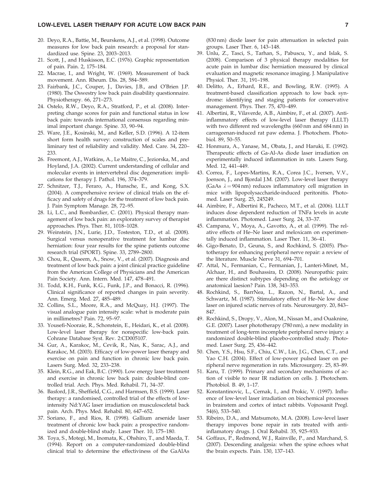#### LOW-LEVEL LASER THERAPY FOR ACUTE LOW BACK PAIN 7

- 20. Deyo, R.A., Battie, M., Beurskens, A.J., et al. (1998). Outcome measures for low back pain research: a proposal for standardized use. Spine. 23, 2003–2013.
- 21. Scott, J., and Huskisson, E.C. (1976). Graphic representation of pain. Pain. 2, 175–184.
- 22. Macrae, I., and Wright, W. (1969). Measurement of back movement. Ann. Rheum. Dis. 28, 584–589.
- 23. Fairbank, J.C., Couper, J., Davies, J.B., and O'Brien J.P. (1980). The Oswestry low back pain disability questionnaire. Physiotherapy. 66, 271–273.
- 24. Ostelo, R.W., Deyo, R.A., Stratford, P., et al. (2008). Interpreting change scores for pain and functional status in low back pain: towards international consensus regarding minimal important change. Spine. 33, 90–94.
- 25. Ware, J.E., Kosinski, M., and Keller, S.D. (1996). A 12-item short form health survey: construction of scales and preliminary test of reliability and validity. Med. Care. 34, 220– 233.
- 26. Freemont, A.J., Watkins, A., Le Maitre, C., Jeziorska, M., and Hoyland, J.A. (2002). Current understanding of cellular and molecular events in intervertebral disc degeneration: implications for therapy J. Pathol. 196, 374–379.
- 27. Schnitzer, T.J., Feraro, A., Hunsche, E., and Kong, S.X. (2004). A comprehensive review of clinical trials on the efficacy and safety of drugs for the treatment of low back pain. J. Pain Symptom Manage. 28, 72–95.
- 28. Li, L.C., and Bombardier, C. (2001). Physical therapy management of low back pain: an exploratory survey of therapist approaches. Phys. Ther. 81, 1018–1028.
- 29. Weinstein, J.N., Lurie, J.D., Tosteston, T.D., et al. (2008). Surgical versus nonoperative treatment for lumbar disc herniation: four year results for the spine patients outcome research trial (SPORT). Spine. 33, 2789–2800.
- 30. Chou, R., Qaseem, A., Snow, V., et al. (2007). Diagnosis and treatment of low back pain: a joint clinical practice guideline from the American College of Physicians and the American Pain Society. Ann. Intern. Med. 147, 478–491.
- 31. Todd, K.H., Funk, K.G., Funk, J.P., and Bonacci, R. (1996). Clinical significance of reported changes in pain severity. Ann. Emerg. Med. 27, 485–489.
- 32. Collins, S.L., Moore, R.A., and McQuay, H.J. (1997). The visual analogue pain intensity scale: what is moderate pain in millimetres? Pain. 72, 95–97.
- 33. Yousefi-Nooraie, R., Schonstein, E., Heidari, K., et al. (2008). Low-level laser therapy for nonspecific low-back pain. Cohrane Database Syst. Rev. 2:CD005107.
- 34. Gur, A., Karakoc, M., Cevik, R., Nas, K., Sarac, A.J., and Karakoc, M. (2003). Efficacy of low-power laser therapy and exercise on pain and function in chronic low back pain. Lasers Surg. Med. 32, 233–238.
- 35. Klein, R.G., and Eak, B.C. (1990). Low energy laser treatment and exercise in chronic low back pain: double-blind controlled trial. Arch. Phys. Med. Rehabil. 71, 34–37.
- 36. Basford, J.R., Sheffield, C.G., and Harmsen, B.S. (1999). Laser therapy: a randomised, controlled trial of the effects of lowintensity Nd:YAG laser irradiation on musculosceletal back pain. Arch. Phys. Med. Rehabil. 80, 647–652.
- 37. Soriano, F., and Rios, R. (1998). Gallium arsenide laser treatment of chronic low back pain: a prospective randomized and double-blind study. Laser Ther. 10, 175–180.
- 38. Toya, S., Motegi, M., Inomata, K., Ohshiro, T., and Maeda, T. (1994). Report on a computer-randomized double-blind clinical trial to determine the effectiviness of the GaAlAs

(830 nm) diode laser for pain attenuation in selected pain groups. Laser Ther. 6, 143–148.

- 39. Unlu, Z., Tasci, S., Tarhan, S., Pabuscu, Y., and Islak, S. (2008). Comparison of 3 physical therapy modalities for acute pain in lumbar disc herniation measured by clinical evaluation and magnetic resonance imaging. J. Manipulative Physiol. Ther. 31, 191–198.
- 40. Delitto, A., Erhard, R.E., and Bowling, R.W. (1995). A treatment-based classification approach to low back syndrome: identifying and staging patients for conservative management. Phys. Ther. 75, 470–489.
- 41. Albertini, R., Vilaverde, A.B., Aimbire, F., et al. (2007). Antiinflammatory effects of low-level laser therapy (LLLT) with two different red wavelengths (660 nm and 684 nm) in carrageenan-induced rat paw edema. J. Photochem. Photobiol. 89, 50–55.
- 42. Honmura, A., Yanase, M., Obata, J., and Haruki, E. (1992). Therapeutic effects of Ga-Al-As diode laser irradiation on experimentally induced inflammation in rats. Lasers Surg. Med. 12, 441–449.
- 43. Correa, F., Lopes-Martins, R.A., Corea J.C., Iversen, V.V., Joenson, J., and Bjordal J.M. (2007). Low-level laser therapy (GaAs  $\lambda = 904$  nm) reduces inflammatory cell migration in mice with lipopolysaccharide-induced peritonitis. Photomed. Laser Surg. 25, 245249.
- 44. Aimbire, F., Albertini R., Pacheco, M.T., et al. (2006). LLLT induces dose dependent reduction of TNFa levels in acute inflammation. Photomed. Laser Surg. 24, 33–37.
- 45. Campana, V., Moya, A., Gavotto, A., et al. (1999). The relative effects of He–Ne laser and meloxicam on experimentally induced inflammation. Laser Ther. 11, 36–41.
- 46. Gigo-Benato, D., Geuna, S., and Rochkind, S. (2005). Phototherapy for enhancing peripheral nerve repair: a review of the literature. Muscle Nerve 31, 694–701.
- 47. Attal, N., Fermanian, C., Fermanian, J., Lanteri-Minet, M., Alchaar, H., and Bouhassira, D. (2008). Neuropathic pain: are there distinct subtypes depending on the aetiology or anatomical laesion? Pain. 138, 343–353.
- 48. Rochkind, S., BarrNea, L., Razon, N., Bartal, A., and Schwartz, M. (1987). Stimulatory effect of He–Ne low dose laser on injured sciatic nerves of rats. Neurosurgery. 20, 843– 847.
- 49. Rochkind, S., Dropy, V., Alon, M., Nissan M., and Ouaknine, G.E. (2007). Laser phototherapy (780 nm), a new modality in treatment of long-term incomplete peripheral nerve injury: a randomized double-blind placebo-controlled study. Photomed. Laser Surg. 25, 436–442.
- 50. Chen, Y.S., Hsu, S.F., Chiu, C.W., Lin, J.G., Chen, C.T., and Yao C.H. (2004). Effect of low-power pulsed laser on peripheral nerve regeneration in rats. Microsurgery. 25, 83–89.
- 51. Karu, T. (1999). Primary and secondary mechanisms of action of visible to near IR radiation on cells. J. Photochem. Photobiol. B. 49, 1–17.
- 52. Konstantinovic, L., Cernak, I., and Prokic, V. (1997). Influence of low-level laser irradiation on biochemical processes in brainstem and cortex of intact rabbits. Vojnosanit Pregl. 54(6), 533–540.
- 53. Ribeiro, D.A., and Matsumoto, M.A. (2008). Low-level laser therapy impoves bone repair in rats treated with antiinflamatory drugs. J. Oral Rehabil. 35, 925–933.
- 54. Goffaux, P., Redmond, W.J., Rainville, P., and Marchand, S. (2007). Descending analgesia: when the spine echoes what the brain expects. Pain. 130, 137–143.